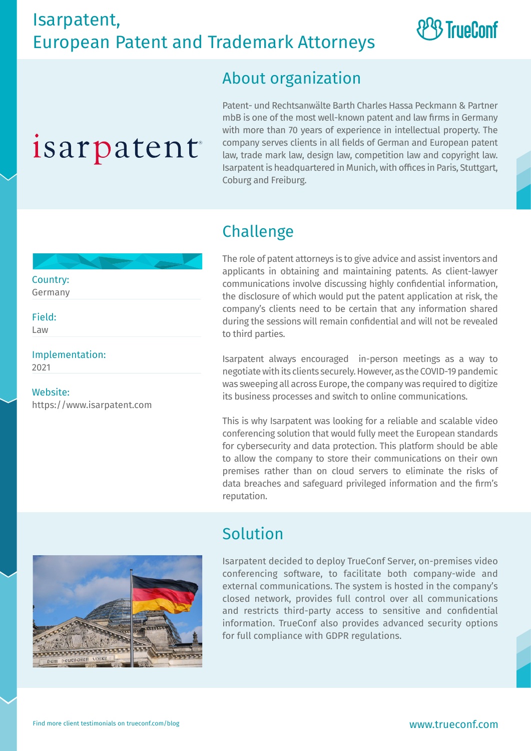## **& TrueConf**

#### About organization

# isarpatent

Patent- und Rechtsanwälte Barth Charles Hassa Peckmann & Partner mbB is one of the most well-known patent and law firms in Germany with more than 70 years of experience in intellectual property. The company serves clients in all fields of German and European patent law, trade mark law, design law, competition law and copyright law. Isarpatent is headquartered in Munich, with offices in Paris, Stuttgart, Coburg and Freiburg.

#### Challenge

The role of patent attorneys is to give advice and assist inventors and applicants in obtaining and maintaining patents. As client-lawyer communications involve discussing highly confidential information, the disclosure of which would put the patent application at risk, the company's clients need to be certain that any information shared during the sessions will remain confidential and will not be revealed to third parties.

Isarpatent always encouraged in-person meetings as a way to negotiate with its clients securely. However, as the COVID-19 pandemic was sweeping all across Europe, the company was required to digitize its business processes and switch to online communications.

This is why Isarpatent was looking for a reliable and scalable video conferencing solution that would fully meet the European standards for cybersecurity and data protection. This platform should be able to allow the company to store their communications on their own premises rather than on cloud servers to eliminate the risks of data breaches and safeguard privileged information and the firm's reputation.



#### Solution

Isarpatent decided to deploy TrueConf Server, on-premises video conferencing software, to facilitate both company-wide and external communications. The system is hosted in the company's closed network, provides full control over all communications and restricts third-party access to sensitive and confidential information. TrueConf also provides advanced security options for full compliance with GDPR regulations.

Country: Germany Field:

Law

Implementation: 2021

Website: https://www.isarpatent.com